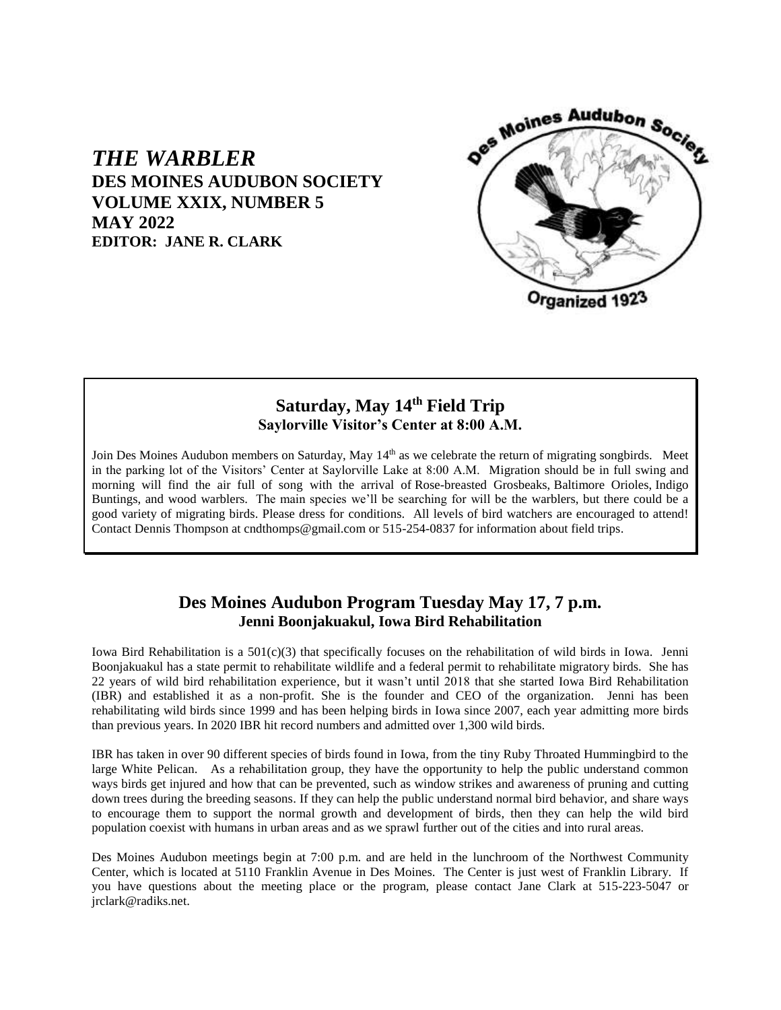# *THE WARBLER* **DES MOINES AUDUBON SOCIETY VOLUME XXIX, NUMBER 5 MAY 2022 EDITOR: JANE R. CLARK**



## **Saturday, May 14th Field Trip Saylorville Visitor's Center at 8:00 A.M.**

Join Des Moines Audubon members on Saturday, May 14<sup>th</sup> as we celebrate the return of migrating songbirds. Meet in the parking lot of the Visitors' Center at Saylorville Lake at 8:00 A.M. Migration should be in full swing and morning will find the air full of song with the arrival of Rose-breasted Grosbeaks, Baltimore Orioles, Indigo Buntings, and wood warblers. The main species we'll be searching for will be the warblers, but there could be a good variety of migrating birds. Please dress for conditions. All levels of bird watchers are encouraged to attend! Contact Dennis Thompson at cndthomps@gmail.com or 515-254-0837 for information about field trips.

## **Des Moines Audubon Program Tuesday May 17, 7 p.m. Jenni Boonjakuakul, Iowa Bird Rehabilitation**

Iowa Bird Rehabilitation is a  $501(c)(3)$  that specifically focuses on the rehabilitation of wild birds in Iowa. Jenni Boonjakuakul has a state permit to rehabilitate wildlife and a federal permit to rehabilitate migratory birds. She has 22 years of wild bird rehabilitation experience, but it wasn't until 2018 that she started Iowa Bird Rehabilitation (IBR) and established it as a non-profit. She is the founder and CEO of the organization. Jenni has been rehabilitating wild birds since 1999 and has been helping birds in Iowa since 2007, each year admitting more birds than previous years. In 2020 IBR hit record numbers and admitted over 1,300 wild birds.

IBR has taken in over 90 different species of birds found in Iowa, from the tiny Ruby Throated Hummingbird to the large White Pelican. As a rehabilitation group, they have the opportunity to help the public understand common ways birds get injured and how that can be prevented, such as window strikes and awareness of pruning and cutting down trees during the breeding seasons. If they can help the public understand normal bird behavior, and share ways to encourage them to support the normal growth and development of birds, then they can help the wild bird population coexist with humans in urban areas and as we sprawl further out of the cities and into rural areas.

Des Moines Audubon meetings begin at 7:00 p.m. and are held in the lunchroom of the Northwest Community Center, which is located at 5110 Franklin Avenue in Des Moines. The Center is just west of Franklin Library. If you have questions about the meeting place or the program, please contact Jane Clark at 515-223-5047 or jrclark@radiks.net.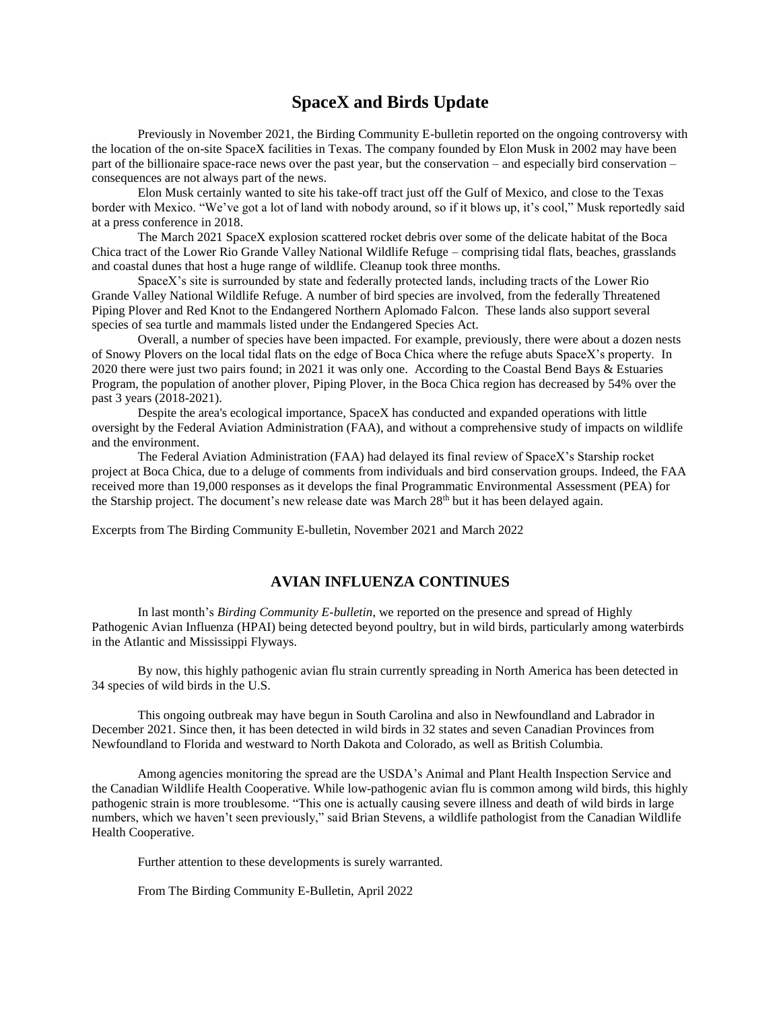## **SpaceX and Birds Update**

Previously in November 2021, the Birding Community E-bulletin reported on the ongoing controversy with the location of the on-site SpaceX facilities in Texas. The company founded by Elon Musk in 2002 may have been part of the billionaire space-race news over the past year, but the conservation – and especially bird conservation – consequences are not always part of the news.

Elon Musk certainly wanted to site his take-off tract just off the Gulf of Mexico, and close to the Texas border with Mexico. "We've got a lot of land with nobody around, so if it blows up, it's cool," Musk reportedly said at a press conference in 2018.

The March 2021 SpaceX explosion scattered rocket debris over some of the delicate habitat of the Boca Chica tract of the Lower Rio Grande Valley National Wildlife Refuge – comprising tidal flats, beaches, grasslands and coastal dunes that host a huge range of wildlife. Cleanup took three months.

SpaceX's site is surrounded by state and federally protected lands, including tracts of the Lower Rio Grande Valley National Wildlife Refuge. A number of bird species are involved, from the federally Threatened Piping Plover and Red Knot to the Endangered Northern Aplomado Falcon. These lands also support several species of sea turtle and mammals listed under the Endangered Species Act.

Overall, a number of species have been impacted. For example, previously, there were about a dozen nests of Snowy Plovers on the local tidal flats on the edge of Boca Chica where the refuge abuts SpaceX's property. In 2020 there were just two pairs found; in 2021 it was only one. According to the Coastal Bend Bays & Estuaries Program, the population of another plover, Piping Plover, in the Boca Chica region has decreased by 54% over the past 3 years (2018-2021).

Despite the area's ecological importance, SpaceX has conducted and expanded operations with little oversight by the Federal Aviation Administration (FAA), and without a comprehensive study of impacts on wildlife and the environment.

The Federal Aviation Administration (FAA) had delayed its final review of SpaceX's Starship rocket project at Boca Chica, due to a deluge of comments from individuals and bird conservation groups. Indeed, the FAA received more than 19,000 responses as it develops the final Programmatic Environmental Assessment (PEA) for the Starship project. The document's new release date was March 28<sup>th</sup> but it has been delayed again.

Excerpts from The Birding Community E-bulletin, November 2021 and March 2022

#### **AVIAN INFLUENZA CONTINUES**

In last month's *Birding Community E-bulletin*, we reported on the presence and spread of Highly Pathogenic Avian Influenza (HPAI) being detected beyond poultry, but in wild birds, particularly among waterbirds in the Atlantic and Mississippi Flyways.

By now, this highly pathogenic avian flu strain currently spreading in North America has been detected in 34 species of wild birds in the U.S.

This ongoing outbreak may have begun in South Carolina and also in Newfoundland and Labrador in December 2021. Since then, it has been detected in wild birds in 32 states and seven Canadian Provinces from Newfoundland to Florida and westward to North Dakota and Colorado, as well as British Columbia.

Among agencies monitoring the spread are the USDA's Animal and Plant Health Inspection Service and the Canadian Wildlife Health Cooperative. While low-pathogenic avian flu is common among wild birds, this highly pathogenic strain is more troublesome. "This one is actually causing severe illness and death of wild birds in large numbers, which we haven't seen previously," said Brian Stevens, a wildlife pathologist from the Canadian Wildlife Health Cooperative.

Further attention to these developments is surely warranted.

From The Birding Community E-Bulletin, April 2022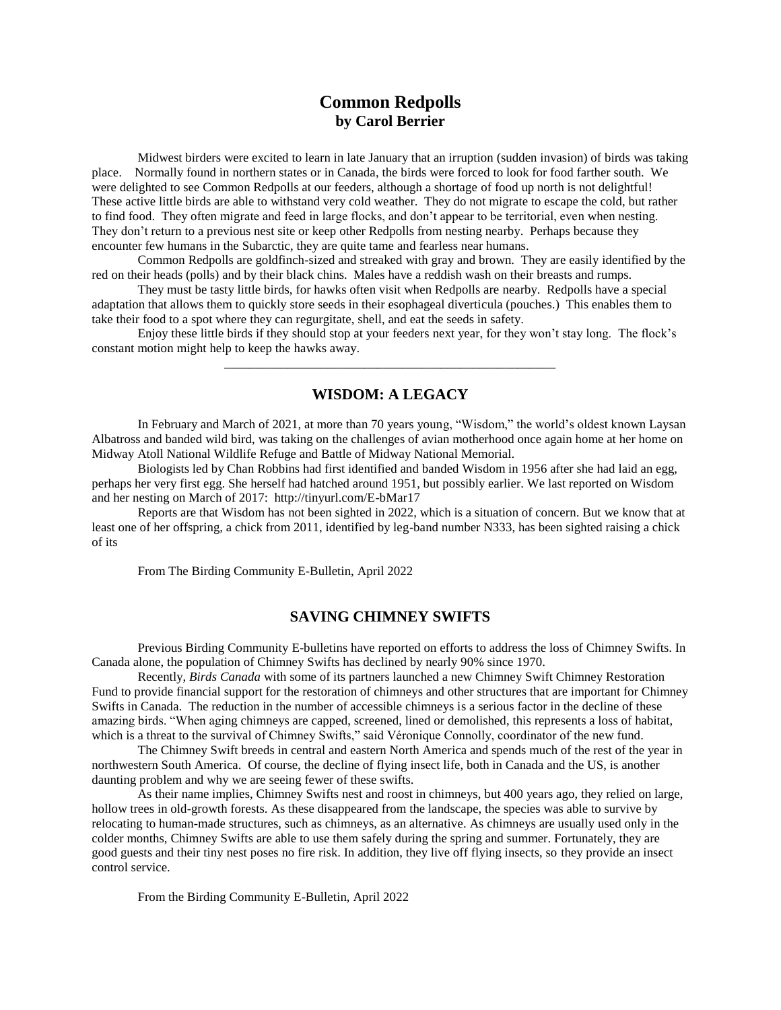### **Common Redpolls by Carol Berrier**

Midwest birders were excited to learn in late January that an irruption (sudden invasion) of birds was taking place. Normally found in northern states or in Canada, the birds were forced to look for food farther south. We were delighted to see Common Redpolls at our feeders, although a shortage of food up north is not delightful! These active little birds are able to withstand very cold weather. They do not migrate to escape the cold, but rather to find food. They often migrate and feed in large flocks, and don't appear to be territorial, even when nesting. They don't return to a previous nest site or keep other Redpolls from nesting nearby. Perhaps because they encounter few humans in the Subarctic, they are quite tame and fearless near humans.

Common Redpolls are goldfinch-sized and streaked with gray and brown. They are easily identified by the red on their heads (polls) and by their black chins. Males have a reddish wash on their breasts and rumps.

They must be tasty little birds, for hawks often visit when Redpolls are nearby. Redpolls have a special adaptation that allows them to quickly store seeds in their esophageal diverticula (pouches.) This enables them to take their food to a spot where they can regurgitate, shell, and eat the seeds in safety.

Enjoy these little birds if they should stop at your feeders next year, for they won't stay long. The flock's constant motion might help to keep the hawks away. \_\_\_\_\_\_\_\_\_\_\_\_\_\_\_\_\_\_\_\_\_\_\_\_\_\_\_\_\_\_\_\_\_\_\_\_\_\_\_\_\_\_\_\_\_\_\_\_\_\_\_\_

#### **WISDOM: A LEGACY**

In February and March of 2021, at more than 70 years young, "Wisdom," the world's oldest known Laysan Albatross and banded wild bird, was taking on the challenges of avian motherhood once again home at her home on Midway Atoll National Wildlife Refuge and Battle of Midway National Memorial.

Biologists led by Chan Robbins had first identified and banded Wisdom in 1956 after she had laid an egg, perhaps her very first egg. She herself had hatched around 1951, but possibly earlier. We last reported on Wisdom and her nesting on March of 2017: http://tinyurl.com/E-bMar17

Reports are that Wisdom has not been sighted in 2022, which is a situation of concern. But we know that at least one of her offspring, a chick from 2011, identified by leg-band number N333, has been sighted raising a chick of its

From The Birding Community E-Bulletin, April 2022

#### **SAVING CHIMNEY SWIFTS**

Previous Birding Community E-bulletins have reported on efforts to address the loss of Chimney Swifts. In Canada alone, the population of Chimney Swifts has declined by nearly 90% since 1970.

Recently, *Birds Canada* with some of its partners launched a new Chimney Swift Chimney Restoration Fund to provide financial support for the restoration of chimneys and other structures that are important for Chimney Swifts in Canada. The reduction in the number of accessible chimneys is a serious factor in the decline of these amazing birds. "When aging chimneys are capped, screened, lined or demolished, this represents a loss of habitat, which is a threat to the survival of Chimney Swifts," said Véronique Connolly, coordinator of the new fund.

The Chimney Swift breeds in central and eastern North America and spends much of the rest of the year in northwestern South America. Of course, the decline of flying insect life, both in Canada and the US, is another daunting problem and why we are seeing fewer of these swifts.

As their name implies, Chimney Swifts nest and roost in chimneys, but 400 years ago, they relied on large, hollow trees in old-growth forests. As these disappeared from the landscape, the species was able to survive by relocating to human-made structures, such as chimneys, as an alternative. As chimneys are usually used only in the colder months, Chimney Swifts are able to use them safely during the spring and summer. Fortunately, they are good guests and their tiny nest poses no fire risk. In addition, they live off flying insects, so they provide an insect control service.

From the Birding Community E-Bulletin, April 2022